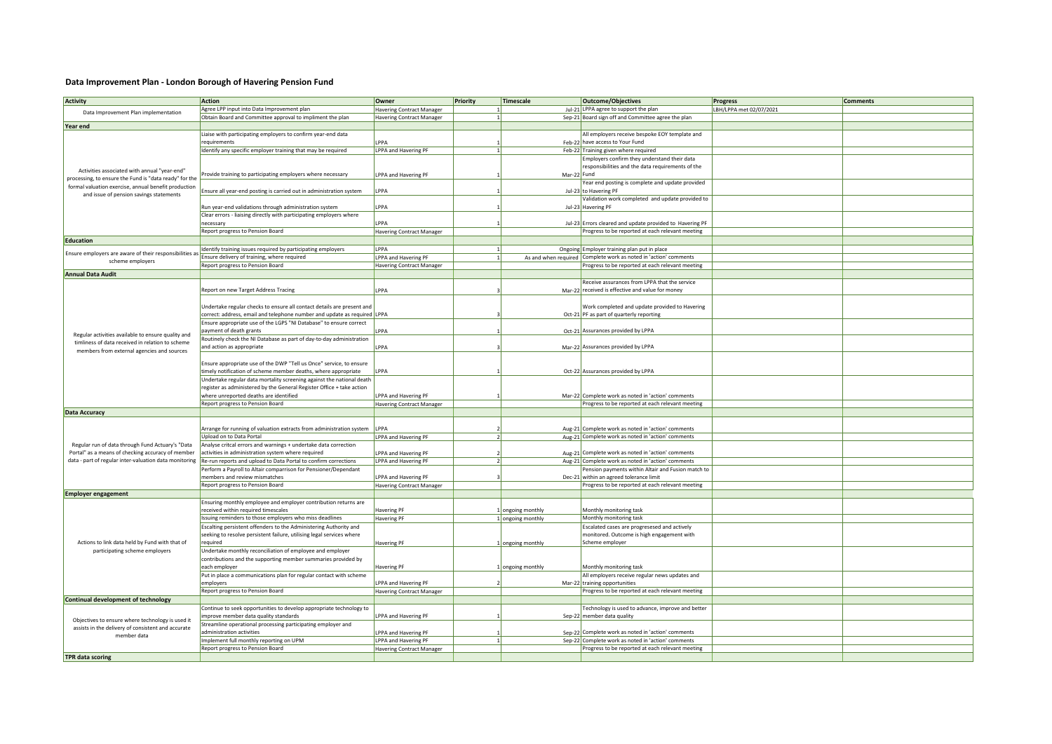## **Data Improvement Plan - London Borough of Havering Pension Fund**

| <b>Activity</b>                                                                                                       | <b>Action</b>                                                                                                                              | Owner                            | Priority | Timescale         | <b>Outcome/Objectives</b>                                                                  | <b>Progress</b>         | <b>Comments</b> |
|-----------------------------------------------------------------------------------------------------------------------|--------------------------------------------------------------------------------------------------------------------------------------------|----------------------------------|----------|-------------------|--------------------------------------------------------------------------------------------|-------------------------|-----------------|
| Data Improvement Plan implementation                                                                                  | Agree LPP input into Data Improvement plan                                                                                                 | Havering Contract Manager        |          |                   | Jul-21 LPPA agree to support the plan                                                      | LBH/LPPA met 02/07/2021 |                 |
|                                                                                                                       | Obtain Board and Committee approval to impliment the plan                                                                                  | <b>Havering Contract Manager</b> |          |                   | Sep-21 Board sign off and Committee agree the plan                                         |                         |                 |
| Year end                                                                                                              |                                                                                                                                            |                                  |          |                   |                                                                                            |                         |                 |
|                                                                                                                       | Liaise with participating employers to confirm year-end data                                                                               |                                  |          |                   | All employers receive bespoke EOY template and                                             |                         |                 |
|                                                                                                                       | requirements                                                                                                                               | <b>PPA</b>                       |          |                   | Feb-22 have access to Your Fund                                                            |                         |                 |
|                                                                                                                       | Identify any specific employer training that may be required                                                                               | LPPA and Havering PF             |          |                   | Feb-22 Training given where required                                                       |                         |                 |
|                                                                                                                       |                                                                                                                                            |                                  |          |                   | Employers confirm they understand their data                                               |                         |                 |
| Activities associated with annual "year-end"                                                                          | Provide training to participating employers where necessary                                                                                |                                  |          | Mar-22 Fund       | responsibilities and the data requirements of the                                          |                         |                 |
| processing, to ensure the Fund is "data ready" for the                                                                |                                                                                                                                            | LPPA and Havering PF             |          |                   | Year end posting is complete and update provided                                           |                         |                 |
| formal valuation exercise, annual benefit production<br>and issue of pension savings statements                       | Ensure all year-end posting is carried out in administration system                                                                        | LPPA                             |          |                   | Jul-23 to Havering PF                                                                      |                         |                 |
|                                                                                                                       |                                                                                                                                            |                                  |          |                   | Validation work completed and update provided to                                           |                         |                 |
|                                                                                                                       | Run year-end validations through administration system                                                                                     | LPPA                             |          |                   | Jul-23 Havering PF                                                                         |                         |                 |
|                                                                                                                       | Clear errors - liaising directly with participating employers where                                                                        |                                  |          |                   |                                                                                            |                         |                 |
|                                                                                                                       | necessary                                                                                                                                  | LPPA                             |          |                   | Jul-23 Errors cleared and update provided to Havering PF                                   |                         |                 |
|                                                                                                                       | Report progress to Pension Board                                                                                                           | <b>Havering Contract Manager</b> |          |                   | Progress to be reported at each relevant meeting                                           |                         |                 |
| <b>Education</b>                                                                                                      |                                                                                                                                            |                                  |          |                   |                                                                                            |                         |                 |
|                                                                                                                       | Identify training issues required by participating employers                                                                               | I PPA                            |          |                   | Ongoing Employer training plan put in place                                                |                         |                 |
| Ensure employers are aware of their responsibilities as                                                               | Ensure delivery of training, where required                                                                                                | LPPA and Havering PF             |          |                   | As and when required   Complete work as noted in 'action' comments                         |                         |                 |
| scheme employers                                                                                                      | Report progress to Pension Board                                                                                                           | Havering Contract Manager        |          |                   | Progress to be reported at each relevant meeting                                           |                         |                 |
| <b>Annual Data Audit</b>                                                                                              |                                                                                                                                            |                                  |          |                   |                                                                                            |                         |                 |
|                                                                                                                       |                                                                                                                                            |                                  |          |                   | Receive assurances from LPPA that the service                                              |                         |                 |
|                                                                                                                       | Report on new Target Address Tracing                                                                                                       | LPPA                             |          |                   | Mar-22 received is effective and value for money                                           |                         |                 |
|                                                                                                                       |                                                                                                                                            |                                  |          |                   |                                                                                            |                         |                 |
|                                                                                                                       | Undertake regular checks to ensure all contact details are present and                                                                     |                                  |          |                   | Work completed and update provided to Havering                                             |                         |                 |
|                                                                                                                       | correct: address, email and telephone number and update as required LPPA                                                                   |                                  |          |                   | Oct-21 PF as part of quarterly reporting                                                   |                         |                 |
|                                                                                                                       | Insure appropriate use of the LGPS "NI Database" to ensure correct                                                                         |                                  |          |                   |                                                                                            |                         |                 |
| Regular activities available to ensure quality and                                                                    | payment of death grants                                                                                                                    | LPPA                             |          |                   | Oct-21 Assurances provided by LPPA                                                         |                         |                 |
| timliness of data received in relation to scheme                                                                      | Routinely check the NI Database as part of day-to-day administration                                                                       |                                  |          |                   |                                                                                            |                         |                 |
| members from external agencies and sources                                                                            | and action as appropriate                                                                                                                  | LPPA                             |          |                   | Mar-22 Assurances provided by LPPA                                                         |                         |                 |
|                                                                                                                       |                                                                                                                                            |                                  |          |                   |                                                                                            |                         |                 |
|                                                                                                                       | Ensure appropriate use of the DWP "Tell us Once" service, to ensure<br>timely notification of scheme member deaths, where appropriate      |                                  |          |                   |                                                                                            |                         |                 |
|                                                                                                                       | Undertake regular data mortality screening against the national death                                                                      | LPPA                             |          |                   | Oct-22 Assurances provided by LPPA                                                         |                         |                 |
|                                                                                                                       | register as administered by the General Register Office + take action                                                                      |                                  |          |                   |                                                                                            |                         |                 |
|                                                                                                                       | where unreported deaths are identified                                                                                                     | LPPA and Havering PF             |          |                   | Mar-22 Complete work as noted in 'action' comments                                         |                         |                 |
|                                                                                                                       | Report progress to Pension Board                                                                                                           | <b>Havering Contract Manager</b> |          |                   | Progress to be reported at each relevant meeting                                           |                         |                 |
| <b>Data Accuracy</b>                                                                                                  |                                                                                                                                            |                                  |          |                   |                                                                                            |                         |                 |
|                                                                                                                       |                                                                                                                                            |                                  |          |                   |                                                                                            |                         |                 |
|                                                                                                                       | Arrange for running of valuation extracts from administration system                                                                       | LPPA                             |          |                   | Aug-21 Complete work as noted in 'action' comments                                         |                         |                 |
|                                                                                                                       | Jpload on to Data Portal                                                                                                                   | LPPA and Havering PF             |          |                   | Aug-21 Complete work as noted in 'action' comments                                         |                         |                 |
| Regular run of data through Fund Actuary's "Data                                                                      | Analyse critcal errors and warnings + undertake data correction                                                                            |                                  |          |                   |                                                                                            |                         |                 |
| Portal" as a means of checking accuracy of member                                                                     | activities in administration system where required                                                                                         | LPPA and Havering PF             |          |                   | Aug-21 Complete work as noted in 'action' comments                                         |                         |                 |
| data - part of regular inter-valuation data monitoring                                                                | Re-run reports and upload to Data Portal to confirm corrections                                                                            | LPPA and Havering PF             |          |                   | Aug-21 Complete work as noted in 'action' comments                                         |                         |                 |
|                                                                                                                       | Perform a Payroll to Altair comparrison for Pensioner/Dependant                                                                            |                                  |          |                   | Pension payments within Altair and Fusion match to                                         |                         |                 |
|                                                                                                                       | members and review mismatches                                                                                                              | LPPA and Havering PF             |          |                   | Dec-21 within an agreed tolerance limit                                                    |                         |                 |
|                                                                                                                       | Report progress to Pension Board                                                                                                           | <b>Havering Contract Manager</b> |          |                   | Progress to be reported at each relevant meeting                                           |                         |                 |
| <b>Employer engagement</b>                                                                                            |                                                                                                                                            |                                  |          |                   |                                                                                            |                         |                 |
|                                                                                                                       | Ensuring monthly employee and employer contribution returns are                                                                            |                                  |          |                   |                                                                                            |                         |                 |
|                                                                                                                       | received within required timescales                                                                                                        | Havering PF                      |          | 1 ongoing monthly | Monthly monitoring task                                                                    |                         |                 |
|                                                                                                                       | Issuing reminders to those employers who miss deadlines                                                                                    | <b>Havering PF</b>               |          | 1 ongoing monthly | Monthly monitoring task                                                                    |                         |                 |
|                                                                                                                       | Escalting persistent offenders to the Administering Authority and<br>seeking to resolve persistent failure, utilising legal services where |                                  |          |                   | Escalated cases are progresesed and actively<br>monitored. Outcome is high engagement with |                         |                 |
| Actions to link data held by Fund with that of<br>participating scheme employers                                      | required                                                                                                                                   | Havering PF                      |          | 1 ongoing monthly | Scheme employer                                                                            |                         |                 |
|                                                                                                                       | Undertake monthly reconciliation of employee and employer                                                                                  |                                  |          |                   |                                                                                            |                         |                 |
|                                                                                                                       | contributions and the supporting member summaries provided by                                                                              |                                  |          |                   |                                                                                            |                         |                 |
|                                                                                                                       | each employer                                                                                                                              | Havering PF                      |          | 1 ongoing monthly | Monthly monitoring task                                                                    |                         |                 |
|                                                                                                                       | Put in place a communications plan for regular contact with scheme                                                                         |                                  |          |                   | All employers receive regular news updates and                                             |                         |                 |
|                                                                                                                       | employers                                                                                                                                  | LPPA and Havering PF             |          |                   | Mar-22 training opportunities                                                              |                         |                 |
|                                                                                                                       | Report progress to Pension Board                                                                                                           | <b>Havering Contract Manager</b> |          |                   | Progress to be reported at each relevant meeting                                           |                         |                 |
| <b>Continual development of technology</b>                                                                            |                                                                                                                                            |                                  |          |                   |                                                                                            |                         |                 |
| Objectives to ensure where technology is used it<br>assists in the delivery of consistent and accurate<br>member data | Continue to seek opportunities to develop appropriate technology to                                                                        |                                  |          |                   | Fechnology is used to advance, improve and better                                          |                         |                 |
|                                                                                                                       | mprove member data quality standards                                                                                                       | LPPA and Havering PF             |          |                   | Sep-22 member data quality                                                                 |                         |                 |
|                                                                                                                       | Streamline operational processing participating employer and                                                                               |                                  |          |                   |                                                                                            |                         |                 |
|                                                                                                                       | administration activities                                                                                                                  | LPPA and Havering PF             |          |                   | Sep-22 Complete work as noted in 'action' comments                                         |                         |                 |
|                                                                                                                       | Implement full monthly reporting on UPM                                                                                                    | LPPA and Havering PF             |          |                   | Sep-22 Complete work as noted in 'action' comments                                         |                         |                 |
|                                                                                                                       | Report progress to Pension Board                                                                                                           | Havering Contract Manager        |          |                   | Progress to be reported at each relevant meeting                                           |                         |                 |
| <b>TPR</b> data scoring                                                                                               |                                                                                                                                            |                                  |          |                   |                                                                                            |                         |                 |